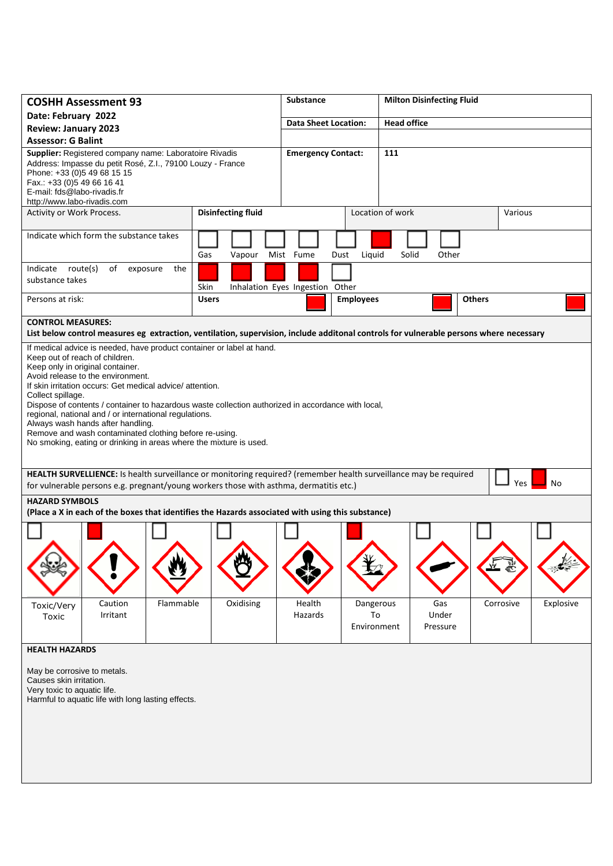| <b>COSHH Assessment 93</b>                                                                                                                                                                                                                                                                                                                                                                                                                                                                                                                                                                             | <b>Substance</b>            |                                 | <b>Milton Disinfecting Fluid</b> |                          |               |           |  |  |  |  |
|--------------------------------------------------------------------------------------------------------------------------------------------------------------------------------------------------------------------------------------------------------------------------------------------------------------------------------------------------------------------------------------------------------------------------------------------------------------------------------------------------------------------------------------------------------------------------------------------------------|-----------------------------|---------------------------------|----------------------------------|--------------------------|---------------|-----------|--|--|--|--|
| Date: February 2022                                                                                                                                                                                                                                                                                                                                                                                                                                                                                                                                                                                    |                             |                                 | <b>Head office</b>               |                          |               |           |  |  |  |  |
| <b>Review: January 2023</b>                                                                                                                                                                                                                                                                                                                                                                                                                                                                                                                                                                            | <b>Data Sheet Location:</b> |                                 |                                  |                          |               |           |  |  |  |  |
|                                                                                                                                                                                                                                                                                                                                                                                                                                                                                                                                                                                                        | <b>Assessor: G Balint</b>   |                                 |                                  |                          |               |           |  |  |  |  |
| Supplier: Registered company name: Laboratoire Rivadis<br>Address: Impasse du petit Rosé, Z.I., 79100 Louzy - France<br>Phone: +33 (0)5 49 68 15 15<br>Fax.: +33 (0) 5 49 66 16 41<br>E-mail: fds@labo-rivadis.fr<br>http://www.labo-rivadis.com                                                                                                                                                                                                                                                                                                                                                       | <b>Emergency Contact:</b>   |                                 | 111                              |                          |               |           |  |  |  |  |
| Activity or Work Process.                                                                                                                                                                                                                                                                                                                                                                                                                                                                                                                                                                              | <b>Disinfecting fluid</b>   |                                 | Location of work                 |                          | Various       |           |  |  |  |  |
| Indicate which form the substance takes                                                                                                                                                                                                                                                                                                                                                                                                                                                                                                                                                                | Gas<br>Vapour               | Mist Fume<br>Dust               | Liquid                           | Solid<br>Other           |               |           |  |  |  |  |
| Indicate route(s)<br>of<br>exposure<br>the<br>substance takes                                                                                                                                                                                                                                                                                                                                                                                                                                                                                                                                          | Skin                        | Inhalation Eyes Ingestion Other |                                  |                          |               |           |  |  |  |  |
| Persons at risk:                                                                                                                                                                                                                                                                                                                                                                                                                                                                                                                                                                                       | <b>Users</b>                |                                 | <b>Employees</b>                 |                          | <b>Others</b> |           |  |  |  |  |
| <b>CONTROL MEASURES:</b><br>List below control measures eg extraction, ventilation, supervision, include additonal controls for vulnerable persons where necessary                                                                                                                                                                                                                                                                                                                                                                                                                                     |                             |                                 |                                  |                          |               |           |  |  |  |  |
| If medical advice is needed, have product container or label at hand.<br>Keep out of reach of children.<br>Keep only in original container.<br>Avoid release to the environment.<br>If skin irritation occurs: Get medical advice/attention.<br>Collect spillage.<br>Dispose of contents / container to hazardous waste collection authorized in accordance with local,<br>regional, national and / or international regulations.<br>Always wash hands after handling.<br>Remove and wash contaminated clothing before re-using.<br>No smoking, eating or drinking in areas where the mixture is used. |                             |                                 |                                  |                          |               |           |  |  |  |  |
| HEALTH SURVELLIENCE: Is health surveillance or monitoring required? (remember health surveillance may be required<br><b>Yes</b><br>No<br>for vulnerable persons e.g. pregnant/young workers those with asthma, dermatitis etc.)                                                                                                                                                                                                                                                                                                                                                                        |                             |                                 |                                  |                          |               |           |  |  |  |  |
| <b>HAZARD SYMBOLS</b><br>(Place a X in each of the boxes that identifies the Hazards associated with using this substance)                                                                                                                                                                                                                                                                                                                                                                                                                                                                             |                             |                                 |                                  |                          |               |           |  |  |  |  |
|                                                                                                                                                                                                                                                                                                                                                                                                                                                                                                                                                                                                        |                             |                                 |                                  |                          |               |           |  |  |  |  |
| Flammable<br>Caution<br>Toxic/Very<br>Irritant<br>Toxic                                                                                                                                                                                                                                                                                                                                                                                                                                                                                                                                                | Oxidising                   | Health<br>Hazards               | Dangerous<br>To<br>Environment   | Gas<br>Under<br>Pressure | Corrosive     | Explosive |  |  |  |  |
| <b>HEALTH HAZARDS</b>                                                                                                                                                                                                                                                                                                                                                                                                                                                                                                                                                                                  |                             |                                 |                                  |                          |               |           |  |  |  |  |
| May be corrosive to metals.<br>Causes skin irritation.<br>Very toxic to aquatic life.<br>Harmful to aquatic life with long lasting effects.                                                                                                                                                                                                                                                                                                                                                                                                                                                            |                             |                                 |                                  |                          |               |           |  |  |  |  |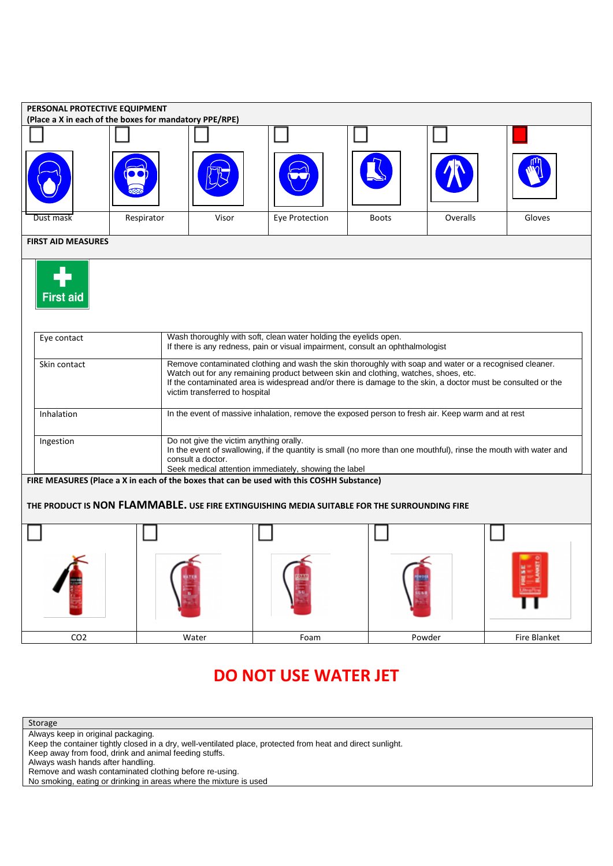| PERSONAL PROTECTIVE EQUIPMENT<br>(Place a X in each of the boxes for mandatory PPE/RPE)      |                 |                                                                                                                                                    |                                                                                                                                                                                                                                                                                                                                                 |                |              |          |              |  |  |  |  |  |
|----------------------------------------------------------------------------------------------|-----------------|----------------------------------------------------------------------------------------------------------------------------------------------------|-------------------------------------------------------------------------------------------------------------------------------------------------------------------------------------------------------------------------------------------------------------------------------------------------------------------------------------------------|----------------|--------------|----------|--------------|--|--|--|--|--|
|                                                                                              |                 |                                                                                                                                                    |                                                                                                                                                                                                                                                                                                                                                 |                |              |          |              |  |  |  |  |  |
|                                                                                              |                 |                                                                                                                                                    |                                                                                                                                                                                                                                                                                                                                                 |                |              |          |              |  |  |  |  |  |
|                                                                                              |                 |                                                                                                                                                    |                                                                                                                                                                                                                                                                                                                                                 |                |              |          |              |  |  |  |  |  |
|                                                                                              | Dust mask       | Respirator                                                                                                                                         | Visor                                                                                                                                                                                                                                                                                                                                           | Eye Protection | <b>Boots</b> | Overalls | Gloves       |  |  |  |  |  |
| <b>FIRST AID MEASURES</b>                                                                    |                 |                                                                                                                                                    |                                                                                                                                                                                                                                                                                                                                                 |                |              |          |              |  |  |  |  |  |
| <b>First aid</b>                                                                             |                 |                                                                                                                                                    |                                                                                                                                                                                                                                                                                                                                                 |                |              |          |              |  |  |  |  |  |
|                                                                                              | Eye contact     | Wash thoroughly with soft, clean water holding the eyelids open.<br>If there is any redness, pain or visual impairment, consult an ophthalmologist |                                                                                                                                                                                                                                                                                                                                                 |                |              |          |              |  |  |  |  |  |
|                                                                                              | Skin contact    |                                                                                                                                                    | Remove contaminated clothing and wash the skin thoroughly with soap and water or a recognised cleaner.<br>Watch out for any remaining product between skin and clothing, watches, shoes, etc.<br>If the contaminated area is widespread and/or there is damage to the skin, a doctor must be consulted or the<br>victim transferred to hospital |                |              |          |              |  |  |  |  |  |
|                                                                                              | Inhalation      |                                                                                                                                                    | In the event of massive inhalation, remove the exposed person to fresh air. Keep warm and at rest                                                                                                                                                                                                                                               |                |              |          |              |  |  |  |  |  |
|                                                                                              | Ingestion       |                                                                                                                                                    | Do not give the victim anything orally.<br>In the event of swallowing, if the quantity is small (no more than one mouthful), rinse the mouth with water and<br>consult a doctor.<br>Seek medical attention immediately, showing the label                                                                                                       |                |              |          |              |  |  |  |  |  |
| FIRE MEASURES (Place a X in each of the boxes that can be used with this COSHH Substance)    |                 |                                                                                                                                                    |                                                                                                                                                                                                                                                                                                                                                 |                |              |          |              |  |  |  |  |  |
| THE PRODUCT IS NON FLAMMABLE. USE FIRE EXTINGUISHING MEDIA SUITABLE FOR THE SURROUNDING FIRE |                 |                                                                                                                                                    |                                                                                                                                                                                                                                                                                                                                                 |                |              |          |              |  |  |  |  |  |
|                                                                                              |                 |                                                                                                                                                    |                                                                                                                                                                                                                                                                                                                                                 |                |              |          |              |  |  |  |  |  |
|                                                                                              |                 |                                                                                                                                                    |                                                                                                                                                                                                                                                                                                                                                 |                |              |          |              |  |  |  |  |  |
|                                                                                              | CO <sub>2</sub> |                                                                                                                                                    | Water                                                                                                                                                                                                                                                                                                                                           | Foam           |              | Powder   | Fire Blanket |  |  |  |  |  |

# **DO NOT USE WATER JET**

Storage

Always keep in original packaging.

Keep the container tightly closed in a dry, well-ventilated place, protected from heat and direct sunlight.

Keep away from food, drink and animal feeding stuffs.

Always wash hands after handling.

Remove and wash contaminated clothing before re-using.

No smoking, eating or drinking in areas where the mixture is used